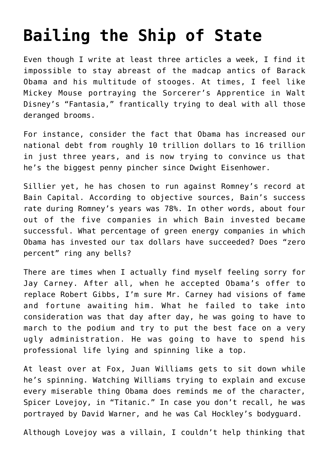## **[Bailing the Ship of State](https://bernardgoldberg.com/bailing-the-ship-of-state/)**

Even though I write at least three articles a week, I find it impossible to stay abreast of the madcap antics of Barack Obama and his multitude of stooges. At times, I feel like Mickey Mouse portraying the Sorcerer's Apprentice in Walt Disney's "Fantasia," frantically trying to deal with all those deranged brooms.

For instance, consider the fact that Obama has increased our national debt from roughly 10 trillion dollars to 16 trillion in just three years, and is now trying to convince us that he's the biggest penny pincher since Dwight Eisenhower.

Sillier yet, he has chosen to run against Romney's record at Bain Capital. According to objective sources, Bain's success rate during Romney's years was 78%. In other words, about four out of the five companies in which Bain invested became successful. What percentage of green energy companies in which Obama has invested our tax dollars have succeeded? Does "zero percent" ring any bells?

There are times when I actually find myself feeling sorry for Jay Carney. After all, when he accepted Obama's offer to replace Robert Gibbs, I'm sure Mr. Carney had visions of fame and fortune awaiting him. What he failed to take into consideration was that day after day, he was going to have to march to the podium and try to put the best face on a very ugly administration. He was going to have to spend his professional life lying and spinning like a top.

At least over at Fox, Juan Williams gets to sit down while he's spinning. Watching Williams trying to explain and excuse every miserable thing Obama does reminds me of the character, Spicer Lovejoy, in "Titanic." In case you don't recall, he was portrayed by David Warner, and he was Cal Hockley's bodyguard.

Although Lovejoy was a villain, I couldn't help thinking that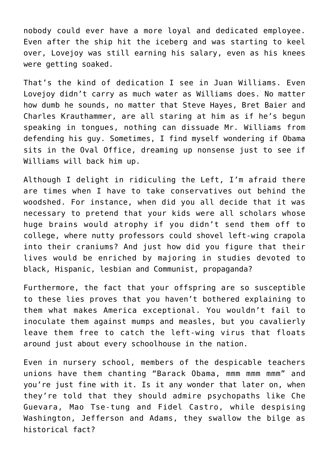nobody could ever have a more loyal and dedicated employee. Even after the ship hit the iceberg and was starting to keel over, Lovejoy was still earning his salary, even as his knees were getting soaked.

That's the kind of dedication I see in Juan Williams. Even Lovejoy didn't carry as much water as Williams does. No matter how dumb he sounds, no matter that Steve Hayes, Bret Baier and Charles Krauthammer, are all staring at him as if he's begun speaking in tongues, nothing can dissuade Mr. Williams from defending his guy. Sometimes, I find myself wondering if Obama sits in the Oval Office, dreaming up nonsense just to see if Williams will back him up.

Although I delight in ridiculing the Left, I'm afraid there are times when I have to take conservatives out behind the woodshed. For instance, when did you all decide that it was necessary to pretend that your kids were all scholars whose huge brains would atrophy if you didn't send them off to college, where nutty professors could shovel left-wing crapola into their craniums? And just how did you figure that their lives would be enriched by majoring in studies devoted to black, Hispanic, lesbian and Communist, propaganda?

Furthermore, the fact that your offspring are so susceptible to these lies proves that you haven't bothered explaining to them what makes America exceptional. You wouldn't fail to inoculate them against mumps and measles, but you cavalierly leave them free to catch the left-wing virus that floats around just about every schoolhouse in the nation.

Even in nursery school, members of the despicable teachers unions have them chanting "Barack Obama, mmm mmm mmm" and you're just fine with it. Is it any wonder that later on, when they're told that they should admire psychopaths like Che Guevara, Mao Tse-tung and Fidel Castro, while despising Washington, Jefferson and Adams, they swallow the bilge as historical fact?